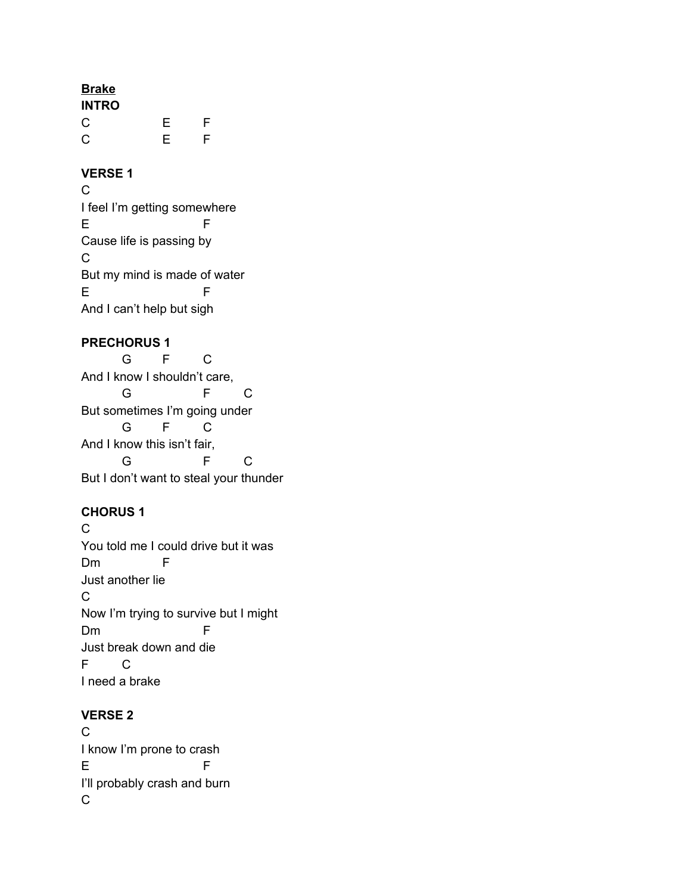## **Brake**

| <b>INTRO</b> |   |   |
|--------------|---|---|
| C            | Ε | F |
| C            | Ε | F |

#### **VERSE 1**

C I feel I'm getting somewhere E F Cause life is passing by C But my mind is made of water E F And I can't help but sigh

### **PRECHORUS 1**

G F C And I know I shouldn't care, G F C But sometimes I'm going under G F C And I know this isn't fair, G F C But I don't want to steal your thunder

### **CHORUS 1**

 $\mathcal{C}$ You told me I could drive but it was Dm F Just another lie C Now I'm trying to survive but I might Dm F Just break down and die F C I need a brake

### **VERSE 2**

C I know I'm prone to crash E F I'll probably crash and burn C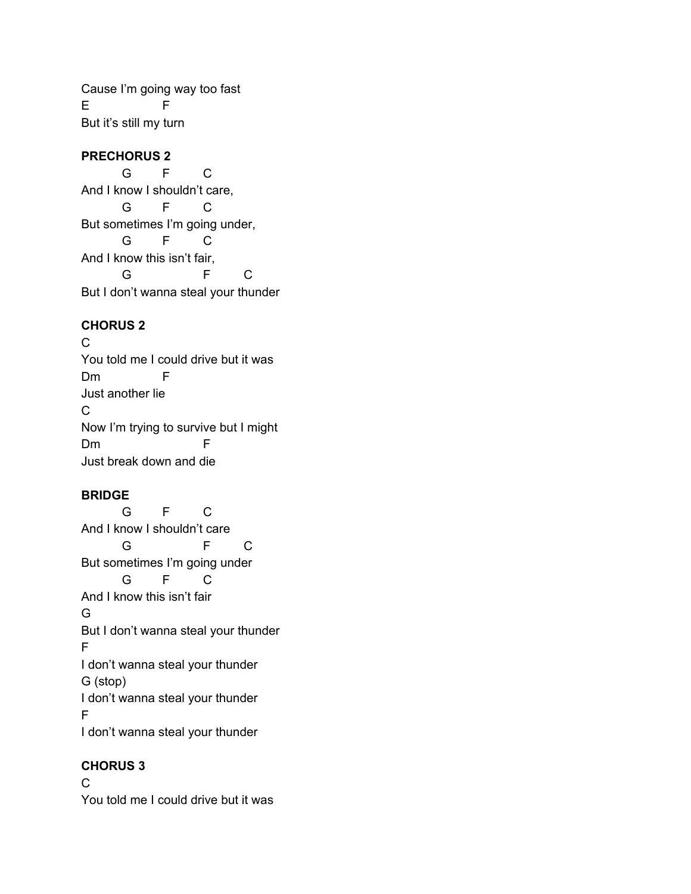Cause I'm going way too fast E F But it's still my turn

### **PRECHORUS 2**

G F C And I know I shouldn't care, G F C But sometimes I'm going under, G F C And I know this isn't fair, G F C But I don't wanna steal your thunder

## **CHORUS 2**

C You told me I could drive but it was Dm F Just another lie C Now I'm trying to survive but I might Dm F Just break down and die

### **BRIDGE**

G F C And I know I shouldn't care G F C But sometimes I'm going under G F C And I know this isn't fair G But I don't wanna steal your thunder F I don't wanna steal your thunder G (stop) I don't wanna steal your thunder F I don't wanna steal your thunder

# **CHORUS 3**

C You told me I could drive but it was